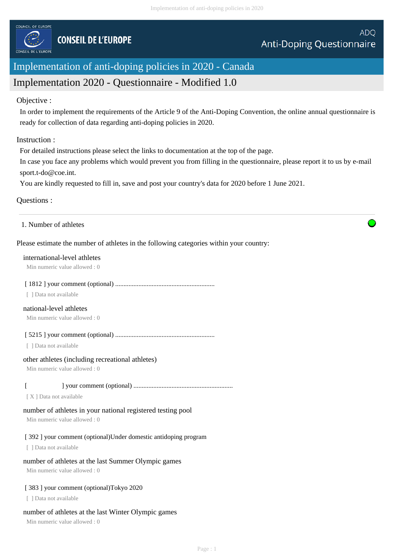

# Implementation of anti-doping policies in 2020 - Canada

# Implementation 2020 - Questionnaire - Modified 1.0

# Objective :

In order to implement the requirements of the Article 9 of the Anti-Doping Convention, the online annual questionnaire is ready for collection of data regarding anti-doping policies in 2020.

## Instruction :

For detailed instructions please select the links to documentation at the top of the page.

In case you face any problems which would prevent you from filling in the questionnaire, please report it to us by e-mail sport.t-do@coe.int.

You are kindly requested to fill in, save and post your country's data for 2020 before 1 June 2021.

# Questions :

#### 1. Number of athletes

# Please estimate the number of athletes in the following categories within your country:

#### international-level athletes

Min numeric value allowed : 0

#### [ 1812 ] your comment (optional) ............................................................

[ ] Data not available

# national-level athletes

Min numeric value allowed : 0

[ 5215 ] your comment (optional) ............................................................

[ ] Data not available

#### other athletes (including recreational athletes)

Min numeric value allowed : 0

# [ ] your comment (optional) ............................................................

[ X ] Data not available

# number of athletes in your national registered testing pool

Min numeric value allowed : 0

# [ 392 ] your comment (optional)Under domestic antidoping program

[ ] Data not available

# number of athletes at the last Summer Olympic games

Min numeric value allowed : 0

# [ 383 ] your comment (optional)Tokyo 2020

[ ] Data not available

# number of athletes at the last Winter Olympic games

Min numeric value allowed : 0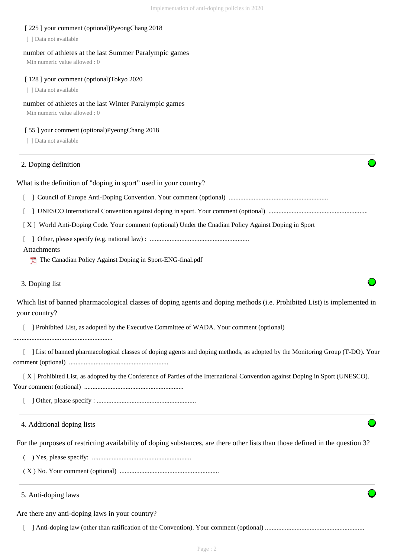| [225] your comment (optional)PyeongChang 2018<br>[ ] Data not available                                                                    |
|--------------------------------------------------------------------------------------------------------------------------------------------|
| number of athletes at the last Summer Paralympic games<br>Min numeric value allowed: 0                                                     |
| [128] your comment (optional)Tokyo 2020                                                                                                    |
| [ ] Data not available                                                                                                                     |
| number of athletes at the last Winter Paralympic games<br>Min numeric value allowed: 0                                                     |
| [55] your comment (optional)PyeongChang 2018<br>[ ] Data not available                                                                     |
| 2. Doping definition                                                                                                                       |
| What is the definition of "doping in sport" used in your country?                                                                          |
|                                                                                                                                            |
|                                                                                                                                            |
| [X] World Anti-Doping Code. Your comment (optional) Under the Cnadian Policy Against Doping in Sport                                       |
|                                                                                                                                            |
| Attachments<br>The Canadian Policy Against Doping in Sport-ENG-final.pdf                                                                   |
| 3. Doping list                                                                                                                             |
| Which list of banned pharmacological classes of doping agents and doping methods (i.e. Prohibited List) is implemented in<br>your country? |
| ] Prohibited List, as adopted by the Executive Committee of WADA. Your comment (optional)                                                  |
| ] List of banned pharmacological classes of doping agents and doping methods, as adopted by the Monitoring Group (T-DO). Your              |
| [X] Prohibited List, as adopted by the Conference of Parties of the International Convention against Doping in Sport (UNESCO).             |
|                                                                                                                                            |
| 4. Additional doping lists                                                                                                                 |
| For the purposes of restricting availability of doping substances, are there other lists than those defined in the question 3?             |
|                                                                                                                                            |
|                                                                                                                                            |
| 5. Anti-doping laws                                                                                                                        |
| Are there any anti-doping laws in your country?                                                                                            |
|                                                                                                                                            |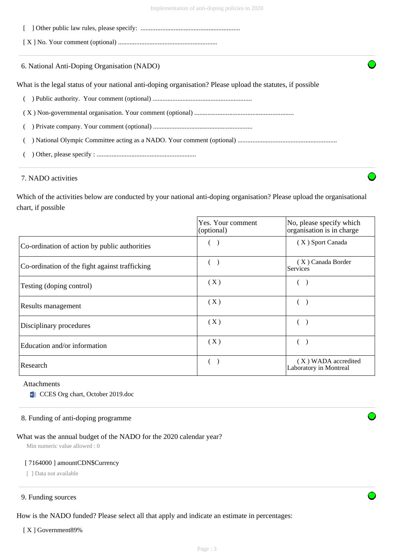[ ] Other public law rules, please specify: ............................................................

[ X ] No. Your comment (optional) ............................................................

6. National Anti-Doping Organisation (NADO)

What is the legal status of your national anti-doping organisation? Please upload the statutes, if possible

- ( ) Public authority. Your comment (optional) ............................................................
- ( X ) Non-governmental organisation. Your comment (optional) ............................................................
- ( ) Private company. Your comment (optional) ............................................................

( ) National Olympic Committee acting as a NADO. Your comment (optional) ............................................................

( ) Other, please specify : ............................................................

# 7. NADO activities

Which of the activities below are conducted by your national anti-doping organisation? Please upload the organisational chart, if possible

|                                                | Yes. Your comment<br>(optional) | No, please specify which<br>organisation is in charge |
|------------------------------------------------|---------------------------------|-------------------------------------------------------|
| Co-ordination of action by public authorities  |                                 | (X) Sport Canada                                      |
| Co-ordination of the fight against trafficking |                                 | (X) Canada Border<br>Services                         |
| Testing (doping control)                       | (X)                             |                                                       |
| Results management                             | (X)                             |                                                       |
| Disciplinary procedures                        | (X)                             |                                                       |
| Education and/or information                   | (X)                             |                                                       |
| Research                                       |                                 | (X) WADA accredited<br>Laboratory in Montreal         |

#### Attachments

**Example 2019** CCES Org chart, October 2019.doc

#### 8. Funding of anti-doping programme

#### What was the annual budget of the NADO for the 2020 calendar year?

Min numeric value allowed : 0

#### [ 7164000 ] amountCDN\$Currency

[ ] Data not available

#### 9. Funding sources

How is the NADO funded? Please select all that apply and indicate an estimate in percentages:

[X ] Government 89%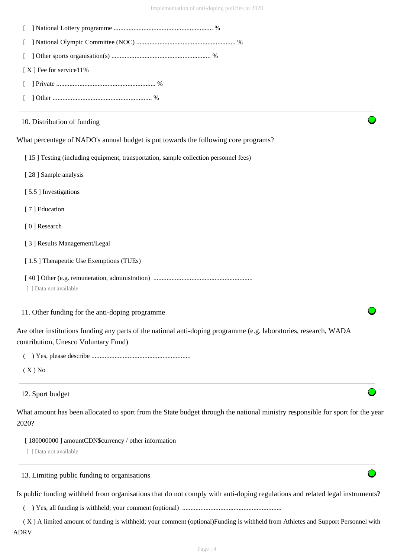| [X] Fee for service11%                                                                                                                                    |
|-----------------------------------------------------------------------------------------------------------------------------------------------------------|
|                                                                                                                                                           |
|                                                                                                                                                           |
| 10. Distribution of funding                                                                                                                               |
| What percentage of NADO's annual budget is put towards the following core programs?                                                                       |
| [15] Testing (including equipment, transportation, sample collection personnel fees)                                                                      |
| [28] Sample analysis                                                                                                                                      |
| [5.5] Investigations                                                                                                                                      |
| [7] Education                                                                                                                                             |
| [0] Research                                                                                                                                              |
| [3] Results Management/Legal                                                                                                                              |
| [1.5] Therapeutic Use Exemptions (TUEs)                                                                                                                   |
|                                                                                                                                                           |
| [ ] Data not available                                                                                                                                    |
| 11. Other funding for the anti-doping programme                                                                                                           |
| Are other institutions funding any parts of the national anti-doping programme (e.g. laboratories, research, WADA<br>contribution, Unesco Voluntary Fund) |
|                                                                                                                                                           |
| $(X)$ No                                                                                                                                                  |
| 12. Sport budget                                                                                                                                          |
| What amount has been allocated to sport from the State budget through the national ministry responsible for sport for the year<br>2020?                   |
| [180000000] amountCDN\$currency / other information                                                                                                       |
| [ ] Data not available                                                                                                                                    |
| 13. Limiting public funding to organisations                                                                                                              |
| Is public funding withheld from organisations that do not comply with anti-doping regulations and related legal instruments?                              |

( ) Yes, all funding is withheld; your comment (optional) ............................................................

 ( X ) A limited amount of funding is withheld; your comment (optional)Funding is withheld from Athletes and Support Personnel with ADRV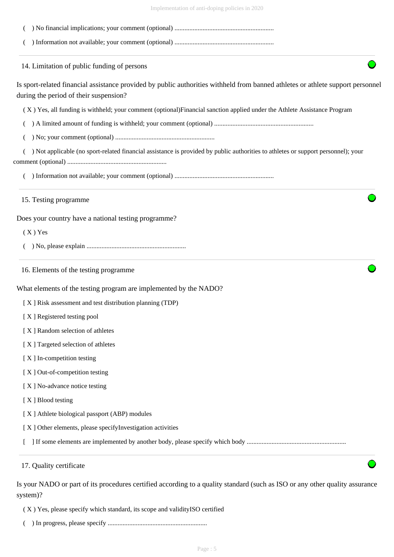| Implementation of anti-doping policies in 2020 |  |  |  |
|------------------------------------------------|--|--|--|
|                                                |  |  |  |

| 14. Limitation of public funding of persons                                                                                       |
|-----------------------------------------------------------------------------------------------------------------------------------|
| Is sport-related financial assistance provided by public authorities withheld from banned athletes or athlete support personnel   |
| during the period of their suspension?                                                                                            |
| (X) Yes, all funding is withheld; your comment (optional) Financial sanction applied under the Athlete Assistance Program         |
|                                                                                                                                   |
|                                                                                                                                   |
| ) Not applicable (no sport-related financial assistance is provided by public authorities to athletes or support personnel); your |
|                                                                                                                                   |
| 15. Testing programme                                                                                                             |
| Does your country have a national testing programme?                                                                              |
| $(X)$ Yes                                                                                                                         |
|                                                                                                                                   |
| 16. Elements of the testing programme                                                                                             |
| What elements of the testing program are implemented by the NADO?                                                                 |
| [X] Risk assessment and test distribution planning (TDP)                                                                          |
| [X] Registered testing pool                                                                                                       |
| [X] Random selection of athletes                                                                                                  |
| [X] Targeted selection of athletes                                                                                                |
| [X] In-competition testing                                                                                                        |
| [X] Out-of-competition testing                                                                                                    |
| [X] No-advance notice testing                                                                                                     |
| [X] Blood testing                                                                                                                 |
| [X] Athlete biological passport (ABP) modules                                                                                     |
| [X] Other elements, please specifyInvestigation activities                                                                        |
|                                                                                                                                   |
| 17. Quality certificate                                                                                                           |

( X ) Yes, please specify which standard, its scope and validityISO certified

( ) In progress, please specify ............................................................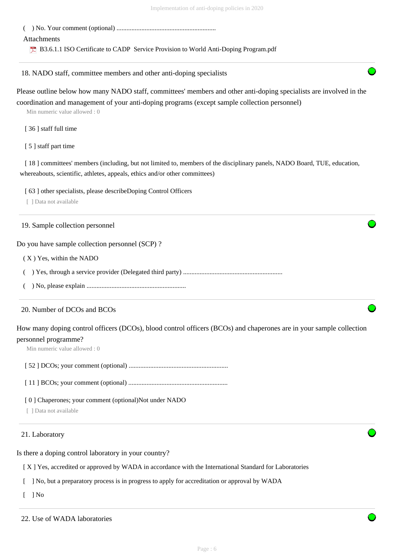( ) No. Your comment (optional) ............................................................

Attachments

**B3.6.1.1 ISO Certificate to CADP Service Provision to World Anti-Doping Program.pdf** 

18. NADO staff, committee members and other anti-doping specialists

Please outline below how many NADO staff, committees' members and other anti-doping specialists are involved in the coordination and management of your anti-doping programs (except sample collection personnel)

Min numeric value allowed : 0

- [ 36 ] staff full time
- [ 5 ] staff part time

[ 18 ] committees' members (including, but not limited to, members of the disciplinary panels, NADO Board, TUE, education, whereabouts, scientific, athletes, appeals, ethics and/or other committees)

[ 63 ] other specialists, please describeDoping Control Officers

[ ] Data not available

19. Sample collection personnel

Do you have sample collection personnel (SCP) ?

( X ) Yes, within the NADO

( ) Yes, through a service provider (Delegated third party) ............................................................

( ) No, please explain ............................................................

# 20. Number of DCOs and BCOs

How many doping control officers (DCOs), blood control officers (BCOs) and chaperones are in your sample collection personnel programme?

Min numeric value allowed : 0

[ 52 ] DCOs; your comment (optional) ............................................................

[ 11 ] BCOs; your comment (optional) ............................................................

[ 0 ] Chaperones; your comment (optional)Not under NADO

[ 1 Data not available

21. Laboratory

Is there a doping control laboratory in your country?

[ X ] Yes, accredited or approved by WADA in accordance with the International Standard for Laboratories

[ ] No, but a preparatory process is in progress to apply for accreditation or approval by WADA

 $\lceil$   $\rceil$  No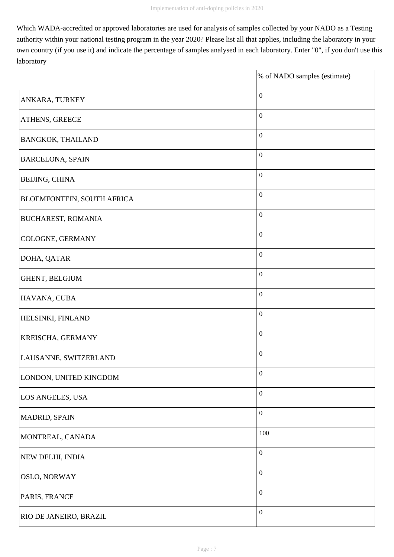Which WADA-accredited or approved laboratories are used for analysis of samples collected by your NADO as a Testing authority within your national testing program in the year 2020? Please list all that applies, including the laboratory in your own country (if you use it) and indicate the percentage of samples analysed in each laboratory. Enter "0", if you don't use this laboratory

|                            | % of NADO samples (estimate) |
|----------------------------|------------------------------|
| ANKARA, TURKEY             | $\boldsymbol{0}$             |
| ATHENS, GREECE             | $\boldsymbol{0}$             |
| <b>BANGKOK, THAILAND</b>   | $\boldsymbol{0}$             |
| <b>BARCELONA, SPAIN</b>    | $\boldsymbol{0}$             |
| <b>BEIJING, CHINA</b>      | $\boldsymbol{0}$             |
| BLOEMFONTEIN, SOUTH AFRICA | $\boldsymbol{0}$             |
| <b>BUCHAREST, ROMANIA</b>  | $\boldsymbol{0}$             |
| <b>COLOGNE, GERMANY</b>    | $\boldsymbol{0}$             |
| DOHA, QATAR                | $\boldsymbol{0}$             |
| GHENT, BELGIUM             | $\boldsymbol{0}$             |
| HAVANA, CUBA               | $\boldsymbol{0}$             |
| HELSINKI, FINLAND          | $\boldsymbol{0}$             |
| KREISCHA, GERMANY          | $\boldsymbol{0}$             |
| LAUSANNE, SWITZERLAND      | $\boldsymbol{0}$             |
| LONDON, UNITED KINGDOM     | $\boldsymbol{0}$             |
| LOS ANGELES, USA           | $\boldsymbol{0}$             |
| MADRID, SPAIN              | $\boldsymbol{0}$             |
| MONTREAL, CANADA           | 100                          |
| NEW DELHI, INDIA           | $\boldsymbol{0}$             |
| <b>OSLO, NORWAY</b>        | $\boldsymbol{0}$             |
| PARIS, FRANCE              | $\boldsymbol{0}$             |
| RIO DE JANEIRO, BRAZIL     | $\boldsymbol{0}$             |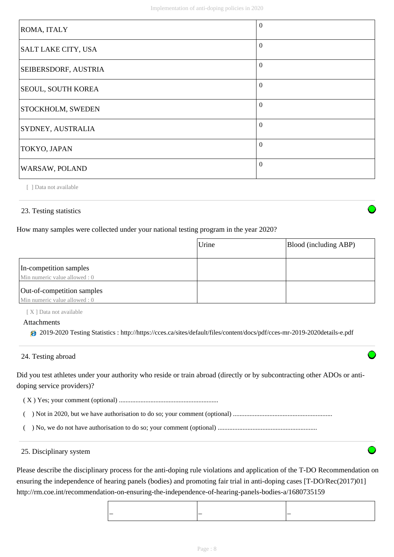| ROMA, ITALY                 | $\Omega$ |
|-----------------------------|----------|
| SALT LAKE CITY, USA         | $\Omega$ |
| <b>SEIBERSDORF, AUSTRIA</b> | $\Omega$ |
| <b>SEOUL, SOUTH KOREA</b>   | $\Omega$ |
| <b>STOCKHOLM, SWEDEN</b>    | $\Omega$ |
| <b>SYDNEY, AUSTRALIA</b>    | $\Omega$ |
| TOKYO, JAPAN                | $\Omega$ |
| WARSAW, POLAND              | $\Omega$ |

[ ] Data not available

# 23. Testing statistics

How many samples were collected under your national testing program in the year 2020?

|                                                             | Urine | Blood (including ABP) |
|-------------------------------------------------------------|-------|-----------------------|
|                                                             |       |                       |
| In-competition samples<br>Min numeric value allowed : 0     |       |                       |
| Out-of-competition samples<br>Min numeric value allowed : 0 |       |                       |

[ X ] Data not available

#### Attachments

2019-2020 Testing Statistics : http://https://cces.ca/sites/default/files/content/docs/pdf/cces-mr-2019-2020details-e.pdf

# 24. Testing abroad

Did you test athletes under your authority who reside or train abroad (directly or by subcontracting other ADOs or antidoping service providers)?

( X ) Yes; your comment (optional) ............................................................

( ) Not in 2020, but we have authorisation to do so; your comment (optional) ............................................................

( ) No, we do not have authorisation to do so; your comment (optional) ............................................................

#### 25. Disciplinary system

Please describe the disciplinary process for the anti-doping rule violations and application of the T-DO Recommendation on ensuring the independence of hearing panels (bodies) and promoting fair trial in anti-doping cases [T-DO/Rec(2017)01] http://rm.coe.int/recommendation-on-ensuring-the-independence-of-hearing-panels-bodies-a/1680735159

| _ | - |
|---|---|
|   |   |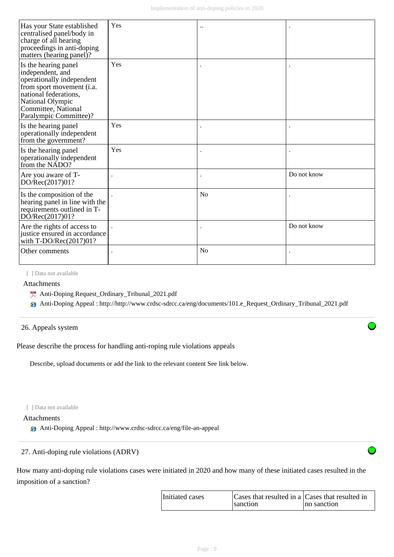| Has your State established<br>centralised panel/body in<br>charge of all hearing<br>proceedings in anti-doping<br>matters (hearing panel)?                                                       | Yes | $\ddot{\phantom{0}}$ |             |
|--------------------------------------------------------------------------------------------------------------------------------------------------------------------------------------------------|-----|----------------------|-------------|
| Is the hearing panel<br>independent, and<br>operationally independent<br>from sport movement (i.a.<br>national federations,<br>National Olympic<br>Committee, National<br>Paralympic Committee)? | Yes |                      |             |
| Is the hearing panel<br>operationally independent<br>from the government?                                                                                                                        | Yes |                      |             |
| Is the hearing panel<br>operationally independent<br>from the NADO?                                                                                                                              | Yes |                      |             |
| Are you aware of T-<br>DO/Rec(2017)01?                                                                                                                                                           |     |                      | Do not know |
| Is the composition of the<br>hearing panel in line with the<br>requirements outlined in T-<br>DO/Rec(2017)01?                                                                                    |     | N <sub>0</sub>       |             |
| Are the rights of access to<br>justice ensured in accordance<br>with T-DO/Rec $(2017)01?$                                                                                                        |     |                      | Do not know |
| Other comments                                                                                                                                                                                   |     | No                   |             |

[ ] Data not available

Attachments

Anti-Doping Request\_Ordinary\_Tribunal\_2021.pdf

Anti-Doping Appeal : http://http://www.crdsc-sdrcc.ca/eng/documents/101.e\_Request\_Ordinary\_Tribunal\_2021.pdf

# 26. Appeals system

Please describe the process for handling anti-roping rule violations appeals

Describe, upload documents or add the link to the relevant content See link below.

[ ] Data not available

# Attachments

Anti-Doping Appeal : http://www.crdsc-sdrcc.ca/eng/file-an-appeal

# 27. Anti-doping rule violations (ADRV)

How many anti-doping rule violations cases were initiated in 2020 and how many of these initiated cases resulted in the imposition of a sanction?

| Initiated cases | Cases that resulted in a Cases that resulted in |             |
|-----------------|-------------------------------------------------|-------------|
|                 | sanction                                        | no sanction |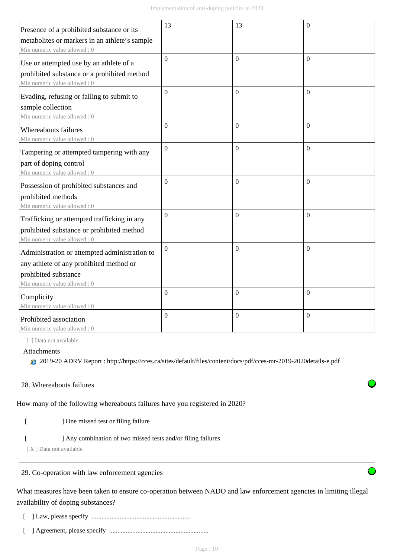| Presence of a prohibited substance or its         | 13             | 13               | $\overline{0}$   |
|---------------------------------------------------|----------------|------------------|------------------|
| metabolites or markers in an athlete's sample     |                |                  |                  |
| Min numeric value allowed: 0                      |                |                  |                  |
| Use or attempted use by an athlete of a           | $\overline{0}$ | $\Omega$         | $\Omega$         |
| prohibited substance or a prohibited method       |                |                  |                  |
| Min numeric value allowed: 0                      |                |                  |                  |
|                                                   | $\overline{0}$ | $\Omega$         | $\Omega$         |
| Evading, refusing or failing to submit to         |                |                  |                  |
| sample collection<br>Min numeric value allowed: 0 |                |                  |                  |
|                                                   | $\overline{0}$ | $\Omega$         | $\theta$         |
| Whereabouts failures                              |                |                  |                  |
| Min numeric value allowed: 0                      |                |                  |                  |
| Tampering or attempted tampering with any         | $\overline{0}$ | $\overline{0}$   | $\mathbf{0}$     |
| part of doping control                            |                |                  |                  |
| Min numeric value allowed: 0                      |                |                  |                  |
| Possession of prohibited substances and           | $\Omega$       | $\Omega$         | $\Omega$         |
| prohibited methods                                |                |                  |                  |
| Min numeric value allowed: 0                      |                |                  |                  |
| Trafficking or attempted trafficking in any       | $\overline{0}$ | $\mathbf{0}$     | $\theta$         |
| prohibited substance or prohibited method         |                |                  |                  |
| Min numeric value allowed: 0                      |                |                  |                  |
| Administration or attempted administration to     | $\mathbf{0}$   | $\boldsymbol{0}$ | $\theta$         |
| any athlete of any prohibited method or           |                |                  |                  |
| prohibited substance                              |                |                  |                  |
| Min numeric value allowed: 0                      |                |                  |                  |
| Complicity                                        | $\mathbf{0}$   | $\boldsymbol{0}$ | $\boldsymbol{0}$ |
| Min numeric value allowed: 0                      |                |                  |                  |
| Prohibited association                            | $\overline{0}$ | $\boldsymbol{0}$ | $\mathbf{0}$     |
| Min numeric value allowed: 0                      |                |                  |                  |

[ ] Data not available

Attachments

2019-20 ADRV Report : http://https://cces.ca/sites/default/files/content/docs/pdf/cces-mr-2019-2020details-e.pdf

# 28. Whereabouts failures

How many of the following whereabouts failures have you registered in 2020?

- [ ] One missed test or filing failure
- [ ] Any combination of two missed tests and/or filing failures

[X] Data not available

# 29. Co-operation with law enforcement agencies

What measures have been taken to ensure co-operation between NADO and law enforcement agencies in limiting illegal availability of doping substances?

- [ ] Law, please specify ............................................................
- [ ] Agreement, please specify ............................................................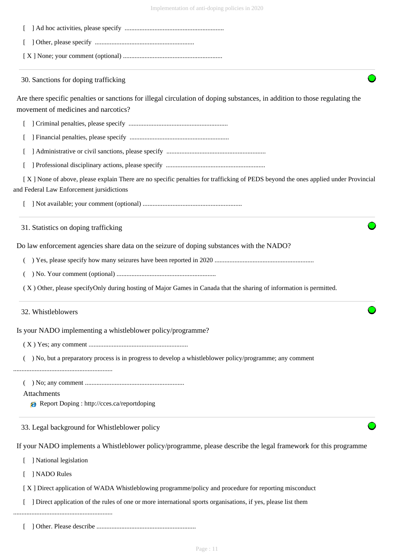| Implementation of anti-doping policies in 2020                                                                                                                                  |
|---------------------------------------------------------------------------------------------------------------------------------------------------------------------------------|
|                                                                                                                                                                                 |
|                                                                                                                                                                                 |
|                                                                                                                                                                                 |
| 30. Sanctions for doping trafficking                                                                                                                                            |
| Are there specific penalties or sanctions for illegal circulation of doping substances, in addition to those regulating the<br>movement of medicines and narcotics?             |
|                                                                                                                                                                                 |
|                                                                                                                                                                                 |
|                                                                                                                                                                                 |
|                                                                                                                                                                                 |
| [X] None of above, please explain There are no specific penalties for trafficking of PEDS beyond the ones applied under Provincial<br>and Federal Law Enforcement jursidictions |
|                                                                                                                                                                                 |
| 31. Statistics on doping trafficking                                                                                                                                            |
| Do law enforcement agencies share data on the seizure of doping substances with the NADO?                                                                                       |
|                                                                                                                                                                                 |
| $\left($                                                                                                                                                                        |
| (X) Other, please specifyOnly during hosting of Major Games in Canada that the sharing of information is permitted.                                                             |
| 32. Whistleblowers                                                                                                                                                              |
| Is your NADO implementing a whistleblower policy/programme?                                                                                                                     |
|                                                                                                                                                                                 |
| ) No, but a preparatory process is in progress to develop a whistleblower policy/programme; any comment                                                                         |
| Attachments<br><b>A</b> Report Doping : http://cces.ca/reportdoping                                                                                                             |
| 33. Legal background for Whistleblower policy                                                                                                                                   |
| If your NADO implements a Whistleblower policy/programme, please describe the legal framework for this programme                                                                |
| ] National legislation                                                                                                                                                          |
| ] NADO Rules                                                                                                                                                                    |
| [X] Direct application of WADA Whistleblowing programme/policy and procedure for reporting misconduct                                                                           |
| ] Direct application of the rules of one or more international sports organisations, if yes, please list them                                                                   |
|                                                                                                                                                                                 |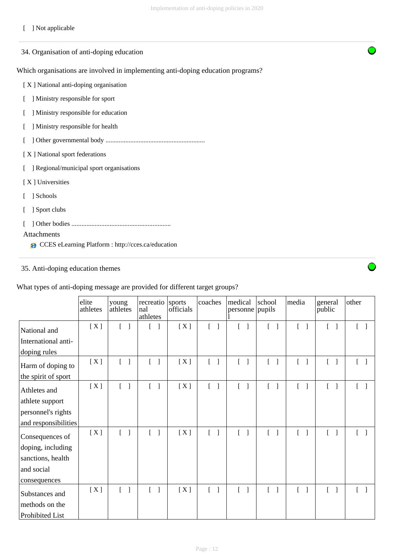# [ ] Not applicable

| 34. Organisation of anti-doping education                                        |
|----------------------------------------------------------------------------------|
| Which organisations are involved in implementing anti-doping education programs? |
| [X] National anti-doping organisation                                            |
| ] Ministry responsible for sport                                                 |
| Ministry responsible for education                                               |
| ] Ministry responsible for health                                                |
|                                                                                  |
| [X] National sport federations                                                   |
| Regional/municipal sport organisations                                           |
| [X] Universities                                                                 |
| Schools                                                                          |
| Sport clubs                                                                      |
|                                                                                  |
| Attachments<br>CCES eLearning Platform : http://cces.ca/education<br>e           |
|                                                                                  |

# 35. Anti-doping education themes

| What types of anti-doping message are provided for different target groups? |  |  |  |
|-----------------------------------------------------------------------------|--|--|--|
|-----------------------------------------------------------------------------|--|--|--|

|                      | elite<br>athletes | young<br>athletes                     | recreatio<br>nal<br>athletes             | sports<br>officials | coaches                           | medical<br>personne pupils        | school                               | media                             | general<br>public                 | other                             |
|----------------------|-------------------|---------------------------------------|------------------------------------------|---------------------|-----------------------------------|-----------------------------------|--------------------------------------|-----------------------------------|-----------------------------------|-----------------------------------|
| National and         | [X]               | $\begin{bmatrix} 1 & 1 \end{bmatrix}$ |                                          | [X]                 | $\begin{bmatrix} 1 \end{bmatrix}$ | $\begin{bmatrix} 1 \end{bmatrix}$ | $\Gamma$<br>$\Box$                   |                                   | L<br>$\Box$                       | $\Box$<br>$\mathbf{L}$            |
| International anti-  |                   |                                       |                                          |                     |                                   |                                   |                                      |                                   |                                   |                                   |
| doping rules         |                   |                                       |                                          |                     |                                   |                                   |                                      |                                   |                                   |                                   |
| Harm of doping to    | [X]               | L<br>$\overline{\phantom{a}}$         | L<br>$\mathbf{1}$                        | [X]                 | $[\ ]$                            | $[\ ]$                            | $\Gamma$<br>$\overline{\phantom{0}}$ | $\begin{bmatrix} 1 \end{bmatrix}$ |                                   | $\begin{bmatrix} 1 \end{bmatrix}$ |
| the spirit of sport  |                   |                                       |                                          |                     |                                   |                                   |                                      |                                   |                                   |                                   |
| Athletes and         | [X]               | $\Gamma$                              | $\sqrt{ }$<br>$\mathcal{I}$              | [X]                 | $\begin{bmatrix} 1 \end{bmatrix}$ | $\begin{bmatrix} 1 \end{bmatrix}$ | $\Gamma$                             | $\mathbb{R}$                      |                                   | $\begin{bmatrix} \end{bmatrix}$   |
| athlete support      |                   |                                       |                                          |                     |                                   |                                   |                                      |                                   |                                   |                                   |
| personnel's rights   |                   |                                       |                                          |                     |                                   |                                   |                                      |                                   |                                   |                                   |
| and responsibilities |                   |                                       |                                          |                     |                                   |                                   |                                      |                                   |                                   |                                   |
| Consequences of      | [X]               | $\begin{bmatrix} 1 & 1 \end{bmatrix}$ | $\begin{bmatrix} 1 \end{bmatrix}$        | [X]                 | $\begin{bmatrix} 1 \end{bmatrix}$ | $[ \ ]$                           | $\begin{bmatrix} 1 \end{bmatrix}$    | $\begin{bmatrix} 1 \end{bmatrix}$ | $\begin{bmatrix} 1 \end{bmatrix}$ | $\begin{bmatrix} 1 \end{bmatrix}$ |
| doping, including    |                   |                                       |                                          |                     |                                   |                                   |                                      |                                   |                                   |                                   |
| sanctions, health    |                   |                                       |                                          |                     |                                   |                                   |                                      |                                   |                                   |                                   |
| and social           |                   |                                       |                                          |                     |                                   |                                   |                                      |                                   |                                   |                                   |
| consequences         |                   |                                       |                                          |                     |                                   |                                   |                                      |                                   |                                   |                                   |
| Substances and       | [X]               | $\begin{bmatrix} 1 \end{bmatrix}$     | $\overline{\phantom{a}}$<br>$\mathsf{L}$ | [X]                 | $\lceil \; \rceil$                | $\begin{bmatrix} 1 \end{bmatrix}$ | $[\ ]$                               | $\lceil$ $\rceil$                 |                                   | $\lceil \; \rceil$                |
| methods on the       |                   |                                       |                                          |                     |                                   |                                   |                                      |                                   |                                   |                                   |
| Prohibited List      |                   |                                       |                                          |                     |                                   |                                   |                                      |                                   |                                   |                                   |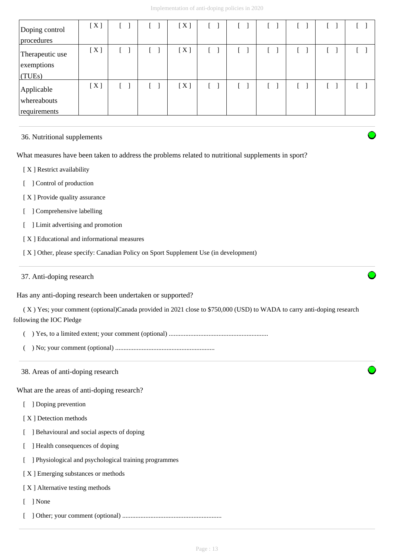| Doping control<br>procedures              | [X] |  | [X] |  |  |  |
|-------------------------------------------|-----|--|-----|--|--|--|
| Therapeutic use<br>exemptions<br>(TUES)   | [X] |  | [X] |  |  |  |
| Applicable<br>whereabouts<br>requirements | [X] |  | [X] |  |  |  |

#### 36. Nutritional supplements

What measures have been taken to address the problems related to nutritional supplements in sport?

[ X ] Restrict availability

[ ] Control of production

[X] Provide quality assurance

[ ] Comprehensive labelling

[ ] Limit advertising and promotion

[ X ] Educational and informational measures

[ X ] Other, please specify: Canadian Policy on Sport Supplement Use (in development)

37. Anti-doping research

Has any anti-doping research been undertaken or supported?

 ( X ) Yes; your comment (optional)Canada provided in 2021 close to \$750,000 (USD) to WADA to carry anti-doping research following the IOC Pledge

( ) Yes, to a limited extent; your comment (optional) ............................................................

( ) No; your comment (optional) ............................................................

38. Areas of anti-doping research

What are the areas of anti-doping research?

[ ] Doping prevention

[ X ] Detection methods

[ ] Behavioural and social aspects of doping

- [ ] Health consequences of doping
- [ ] Physiological and psychological training programmes

[ X ] Emerging substances or methods

[ X ] Alternative testing methods

[ ] None

[ ] Other; your comment (optional) ............................................................